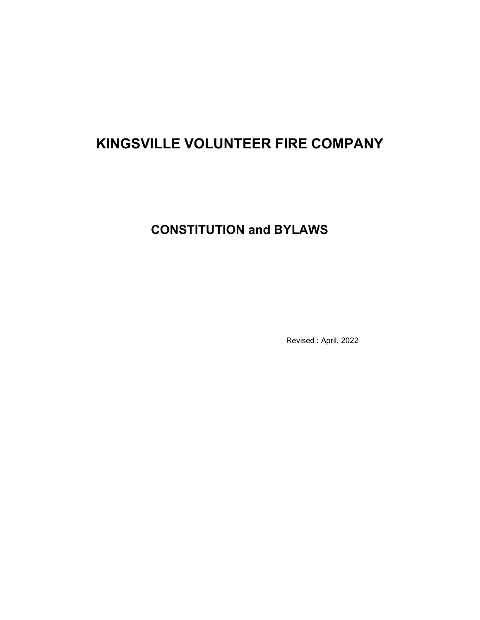# KINGSVILLE VOLUNTEER FIRE COMPANY

# CONSTITUTION and BYLAWS

Revised : April, 2022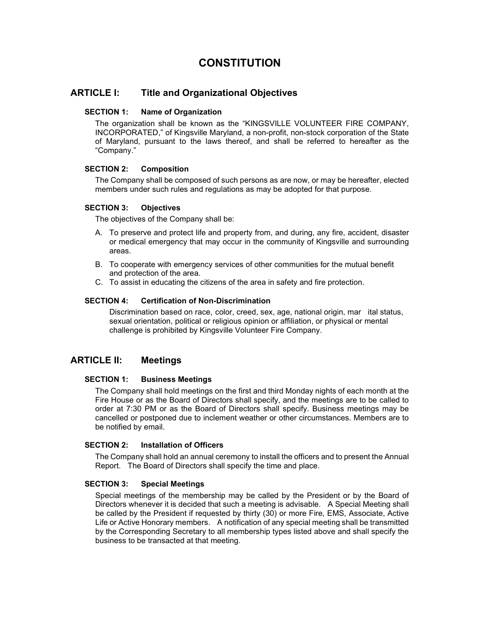# **CONSTITUTION**

# ARTICLE I: Title and Organizational Objectives

#### SECTION 1: Name of Organization

The organization shall be known as the "KINGSVILLE VOLUNTEER FIRE COMPANY, INCORPORATED," of Kingsville Maryland, a non-profit, non-stock corporation of the State of Maryland, pursuant to the laws thereof, and shall be referred to hereafter as the "Company."

## SECTION 2: Composition

The Company shall be composed of such persons as are now, or may be hereafter, elected members under such rules and regulations as may be adopted for that purpose.

#### SECTION 3: Objectives

The objectives of the Company shall be:

- A. To preserve and protect life and property from, and during, any fire, accident, disaster or medical emergency that may occur in the community of Kingsville and surrounding areas.
- B. To cooperate with emergency services of other communities for the mutual benefit and protection of the area.
- C. To assist in educating the citizens of the area in safety and fire protection.

#### SECTION 4: Certification of Non-Discrimination

Discrimination based on race, color, creed, sex, age, national origin, mar ital status, sexual orientation, political or religious opinion or affiliation, or physical or mental challenge is prohibited by Kingsville Volunteer Fire Company.

# ARTICLE II: Meetings

#### SECTION 1: Business Meetings

The Company shall hold meetings on the first and third Monday nights of each month at the Fire House or as the Board of Directors shall specify, and the meetings are to be called to order at 7:30 PM or as the Board of Directors shall specify. Business meetings may be cancelled or postponed due to inclement weather or other circumstances. Members are to be notified by email.

#### SECTION 2: Installation of Officers

The Company shall hold an annual ceremony to install the officers and to present the Annual Report. The Board of Directors shall specify the time and place.

#### SECTION 3: Special Meetings

Special meetings of the membership may be called by the President or by the Board of Directors whenever it is decided that such a meeting is advisable. A Special Meeting shall be called by the President if requested by thirty (30) or more Fire, EMS, Associate, Active Life or Active Honorary members. A notification of any special meeting shall be transmitted by the Corresponding Secretary to all membership types listed above and shall specify the business to be transacted at that meeting.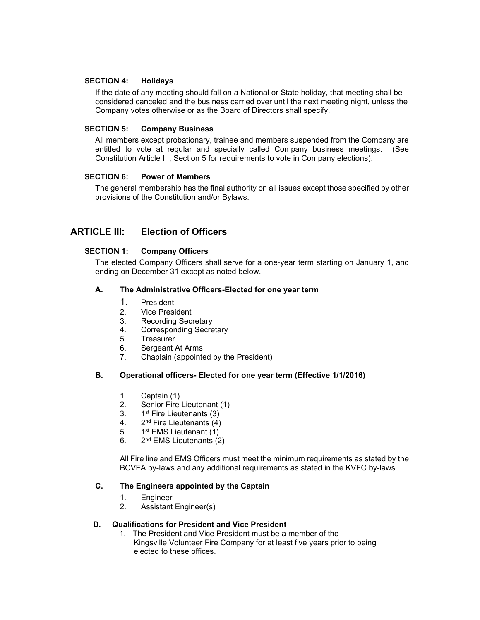## SECTION 4: Holidays

If the date of any meeting should fall on a National or State holiday, that meeting shall be considered canceled and the business carried over until the next meeting night, unless the Company votes otherwise or as the Board of Directors shall specify.

## SECTION 5: Company Business

All members except probationary, trainee and members suspended from the Company are entitled to vote at regular and specially called Company business meetings. (See Constitution Article III, Section 5 for requirements to vote in Company elections).

## SECTION 6: Power of Members

The general membership has the final authority on all issues except those specified by other provisions of the Constitution and/or Bylaws.

# ARTICLE III: Election of Officers

## SECTION 1: Company Officers

The elected Company Officers shall serve for a one-year term starting on January 1, and ending on December 31 except as noted below.

## A. The Administrative Officers-Elected for one year term

- 1. President
- 2. Vice President
- 3. Recording Secretary
- 4. Corresponding Secretary
- 5. Treasurer
- 6. Sergeant At Arms
- 7. Chaplain (appointed by the President)

## B. Operational officers- Elected for one year term (Effective 1/1/2016)

- 1. Captain (1)
- 2. Senior Fire Lieutenant (1)
- 3. 1<sup>st</sup> Fire Lieutenants (3)
- 4. 2nd Fire Lieutenants (4)
- 5. 1st EMS Lieutenant (1)
- 6.  $2^{nd}$  EMS Lieutenants (2)

All Fire line and EMS Officers must meet the minimum requirements as stated by the BCVFA by-laws and any additional requirements as stated in the KVFC by-laws.

## C. The Engineers appointed by the Captain

- 1. Engineer
- 2. Assistant Engineer(s)

#### D. Qualifications for President and Vice President

 1. The President and Vice President must be a member of the Kingsville Volunteer Fire Company for at least five years prior to being elected to these offices.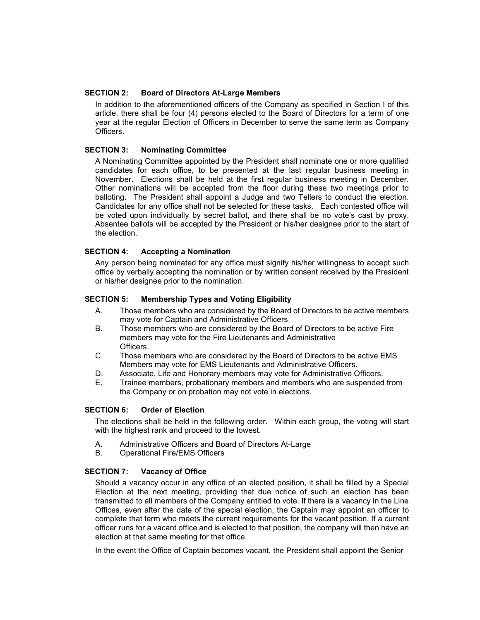#### SECTION 2: Board of Directors At-Large Members

In addition to the aforementioned officers of the Company as specified in Section I of this article, there shall be four (4) persons elected to the Board of Directors for a term of one year at the regular Election of Officers in December to serve the same term as Company **Officers** 

#### SECTION 3: Nominating Committee

A Nominating Committee appointed by the President shall nominate one or more qualified candidates for each office, to be presented at the last regular business meeting in November. Elections shall be held at the first regular business meeting in December. Other nominations will be accepted from the floor during these two meetings prior to balloting. The President shall appoint a Judge and two Tellers to conduct the election. Candidates for any office shall not be selected for these tasks. Each contested office will be voted upon individually by secret ballot, and there shall be no vote's cast by proxy. Absentee ballots will be accepted by the President or his/her designee prior to the start of the election.

#### SECTION 4: Accepting a Nomination

Any person being nominated for any office must signify his/her willingness to accept such office by verbally accepting the nomination or by written consent received by the President or his/her designee prior to the nomination.

#### SECTION 5: Membership Types and Voting Eligibility

- A. Those members who are considered by the Board of Directors to be active members may vote for Captain and Administrative Officers
- B. Those members who are considered by the Board of Directors to be active Fire members may vote for the Fire Lieutenants and Administrative Officers.
- C. Those members who are considered by the Board of Directors to be active EMS Members may vote for EMS Lieutenants and Administrative Officers.
- D. Associate, Life and Honorary members may vote for Administrative Officers.
- E. Trainee members, probationary members and members who are suspended from the Company or on probation may not vote in elections.

#### SECTION 6: Order of Election

The elections shall be held in the following order. Within each group, the voting will start with the highest rank and proceed to the lowest.

- A. Administrative Officers and Board of Directors At-Large
- B. Operational Fire/EMS Officers

#### SECTION 7: Vacancy of Office

Should a vacancy occur in any office of an elected position, it shall be filled by a Special Election at the next meeting, providing that due notice of such an election has been transmitted to all members of the Company entitled to vote. If there is a vacancy in the Line Offices, even after the date of the special election, the Captain may appoint an officer to complete that term who meets the current requirements for the vacant position. If a current officer runs for a vacant office and is elected to that position, the company will then have an election at that same meeting for that office.

In the event the Office of Captain becomes vacant, the President shall appoint the Senior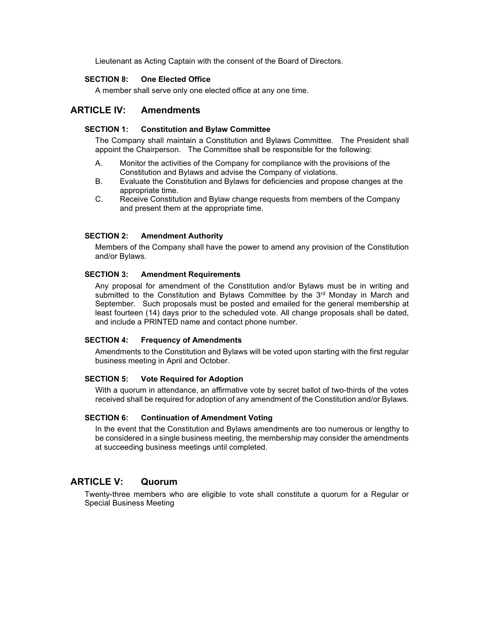Lieutenant as Acting Captain with the consent of the Board of Directors.

## SECTION 8: One Elected Office

A member shall serve only one elected office at any one time.

# ARTICLE IV: Amendments

#### SECTION 1: Constitution and Bylaw Committee

The Company shall maintain a Constitution and Bylaws Committee. The President shall appoint the Chairperson. The Committee shall be responsible for the following:

- A. Monitor the activities of the Company for compliance with the provisions of the Constitution and Bylaws and advise the Company of violations.<br>B. Evaluate the Constitution and Bylaws for deficiencies and proportion
- Evaluate the Constitution and Bylaws for deficiencies and propose changes at the appropriate time.
- C. Receive Constitution and Bylaw change requests from members of the Company and present them at the appropriate time.

#### SECTION 2: Amendment Authority

Members of the Company shall have the power to amend any provision of the Constitution and/or Bylaws.

#### SECTION 3: Amendment Requirements

Any proposal for amendment of the Constitution and/or Bylaws must be in writing and submitted to the Constitution and Bylaws Committee by the  $3<sup>rd</sup>$  Monday in March and September. Such proposals must be posted and emailed for the general membership at least fourteen (14) days prior to the scheduled vote. All change proposals shall be dated, and include a PRINTED name and contact phone number.

#### SECTION 4: Frequency of Amendments

Amendments to the Constitution and Bylaws will be voted upon starting with the first regular business meeting in April and October.

#### SECTION 5: Vote Required for Adoption

With a quorum in attendance, an affirmative vote by secret ballot of two-thirds of the votes received shall be required for adoption of any amendment of the Constitution and/or Bylaws.

#### SECTION 6: Continuation of Amendment Voting

In the event that the Constitution and Bylaws amendments are too numerous or lengthy to be considered in a single business meeting, the membership may consider the amendments at succeeding business meetings until completed.

# ARTICLE V: Quorum

Twenty-three members who are eligible to vote shall constitute a quorum for a Regular or Special Business Meeting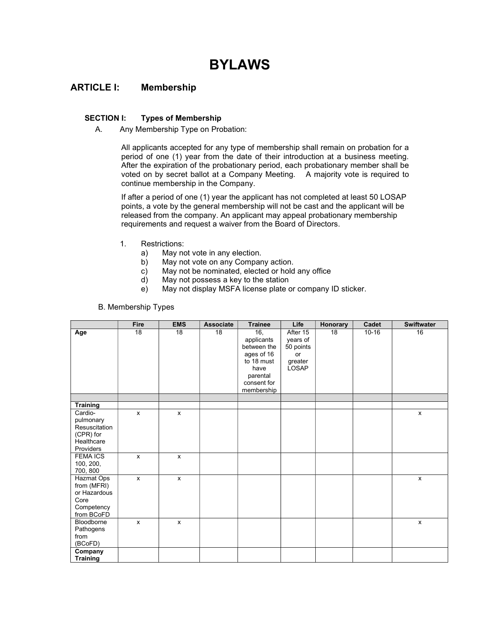# BYLAWS

# ARTICLE I: Membership

## SECTION I: Types of Membership

A. Any Membership Type on Probation:

All applicants accepted for any type of membership shall remain on probation for a period of one (1) year from the date of their introduction at a business meeting. After the expiration of the probationary period, each probationary member shall be voted on by secret ballot at a Company Meeting. A majority vote is required to continue membership in the Company.

If after a period of one (1) year the applicant has not completed at least 50 LOSAP points, a vote by the general membership will not be cast and the applicant will be released from the company. An applicant may appeal probationary membership requirements and request a waiver from the Board of Directors.

- 1. Restrictions:
	- a) May not vote in any election.
	- b) May not vote on any Company action.
	- c) May not be nominated, elected or hold any office
	- d) May not possess a key to the station
	- e) May not display MSFA license plate or company ID sticker.

|                                                                                                  | Fire               | <b>EMS</b> | <b>Associate</b> | <b>Trainee</b>                                                                                                | Life                                                        | Honorary | Cadet     | Swiftwater         |
|--------------------------------------------------------------------------------------------------|--------------------|------------|------------------|---------------------------------------------------------------------------------------------------------------|-------------------------------------------------------------|----------|-----------|--------------------|
| Age                                                                                              | 18                 | 18         | 18               | 16,<br>applicants<br>between the<br>ages of 16<br>to 18 must<br>have<br>parental<br>consent for<br>membership | After 15<br>years of<br>50 points<br>or<br>greater<br>LOSAP | 18       | $10 - 16$ | 16                 |
| <b>Training</b>                                                                                  |                    |            |                  |                                                                                                               |                                                             |          |           |                    |
| Cardio-<br>pulmonary<br>Resuscitation<br>(CPR) for<br>Healthcare<br>Providers<br><b>FEMA ICS</b> | $\mathsf{x}$       | X<br>X     |                  |                                                                                                               |                                                             |          |           | x                  |
| 100, 200,<br>700, 800                                                                            | $\pmb{\mathsf{x}}$ |            |                  |                                                                                                               |                                                             |          |           |                    |
| Hazmat Ops<br>from (MFRI)<br>or Hazardous<br>Core<br>Competency<br>from BCoFD                    | $\mathsf{x}$       | X          |                  |                                                                                                               |                                                             |          |           | x                  |
| Bloodborne<br>Pathogens<br>from<br>(BCoFD)                                                       | X                  | x          |                  |                                                                                                               |                                                             |          |           | $\pmb{\mathsf{x}}$ |
| Company<br><b>Training</b>                                                                       |                    |            |                  |                                                                                                               |                                                             |          |           |                    |

## B. Membership Types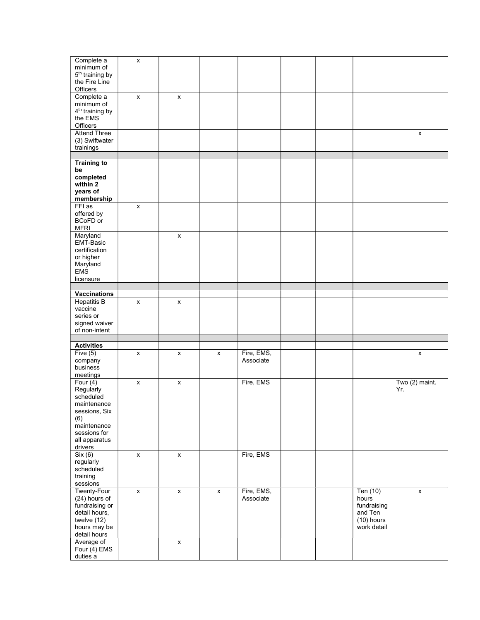| Complete a                  | X                  |                    |                    |            |  |              |                    |
|-----------------------------|--------------------|--------------------|--------------------|------------|--|--------------|--------------------|
| minimum of                  |                    |                    |                    |            |  |              |                    |
| 5 <sup>th</sup> training by |                    |                    |                    |            |  |              |                    |
| the Fire Line               |                    |                    |                    |            |  |              |                    |
| Officers                    |                    |                    |                    |            |  |              |                    |
| Complete a                  | X                  | x                  |                    |            |  |              |                    |
| minimum of                  |                    |                    |                    |            |  |              |                    |
| 4 <sup>th</sup> training by |                    |                    |                    |            |  |              |                    |
|                             |                    |                    |                    |            |  |              |                    |
| the EMS                     |                    |                    |                    |            |  |              |                    |
| Officers                    |                    |                    |                    |            |  |              |                    |
| <b>Attend Three</b>         |                    |                    |                    |            |  |              | X                  |
| (3) Swiftwater              |                    |                    |                    |            |  |              |                    |
| trainings                   |                    |                    |                    |            |  |              |                    |
|                             |                    |                    |                    |            |  |              |                    |
|                             |                    |                    |                    |            |  |              |                    |
| <b>Training to</b>          |                    |                    |                    |            |  |              |                    |
| be                          |                    |                    |                    |            |  |              |                    |
| completed                   |                    |                    |                    |            |  |              |                    |
| within 2                    |                    |                    |                    |            |  |              |                    |
| years of                    |                    |                    |                    |            |  |              |                    |
| membership                  |                    |                    |                    |            |  |              |                    |
| FFI as                      | $\pmb{\times}$     |                    |                    |            |  |              |                    |
| offered by                  |                    |                    |                    |            |  |              |                    |
|                             |                    |                    |                    |            |  |              |                    |
| BCoFD or                    |                    |                    |                    |            |  |              |                    |
| <b>MFRI</b>                 |                    |                    |                    |            |  |              |                    |
| Maryland                    |                    | x                  |                    |            |  |              |                    |
| EMT-Basic                   |                    |                    |                    |            |  |              |                    |
| certification               |                    |                    |                    |            |  |              |                    |
| or higher                   |                    |                    |                    |            |  |              |                    |
| Maryland                    |                    |                    |                    |            |  |              |                    |
| <b>EMS</b>                  |                    |                    |                    |            |  |              |                    |
|                             |                    |                    |                    |            |  |              |                    |
| licensure                   |                    |                    |                    |            |  |              |                    |
|                             |                    |                    |                    |            |  |              |                    |
| <b>Vaccinations</b>         |                    |                    |                    |            |  |              |                    |
| <b>Hepatitis B</b>          | x                  | x                  |                    |            |  |              |                    |
| vaccine                     |                    |                    |                    |            |  |              |                    |
| series or                   |                    |                    |                    |            |  |              |                    |
| signed waiver               |                    |                    |                    |            |  |              |                    |
|                             |                    |                    |                    |            |  |              |                    |
| of non-intent               |                    |                    |                    |            |  |              |                    |
|                             |                    |                    |                    |            |  |              |                    |
| <b>Activities</b>           |                    |                    |                    |            |  |              |                    |
| Five $(5)$                  | x                  | x                  | X                  | Fire, EMS, |  |              | $\pmb{\mathsf{x}}$ |
| company                     |                    |                    |                    |            |  |              |                    |
| business                    |                    |                    |                    | Associate  |  |              |                    |
|                             |                    |                    |                    |            |  |              |                    |
|                             |                    |                    |                    |            |  |              |                    |
| meetings                    |                    |                    |                    |            |  |              |                    |
| Four $(4)$                  | X                  | x                  |                    | Fire, EMS  |  |              | Two (2) maint.     |
| Regularly                   |                    |                    |                    |            |  |              | Yr.                |
| scheduled                   |                    |                    |                    |            |  |              |                    |
| maintenance                 |                    |                    |                    |            |  |              |                    |
| sessions, Six               |                    |                    |                    |            |  |              |                    |
|                             |                    |                    |                    |            |  |              |                    |
| (6)                         |                    |                    |                    |            |  |              |                    |
| maintenance                 |                    |                    |                    |            |  |              |                    |
| sessions for                |                    |                    |                    |            |  |              |                    |
| all apparatus               |                    |                    |                    |            |  |              |                    |
| drivers                     |                    |                    |                    |            |  |              |                    |
| Six (6)                     | $\pmb{\mathsf{x}}$ | $\pmb{\mathsf{x}}$ |                    | Fire, EMS  |  |              |                    |
| regularly                   |                    |                    |                    |            |  |              |                    |
| scheduled                   |                    |                    |                    |            |  |              |                    |
| training                    |                    |                    |                    |            |  |              |                    |
| sessions                    |                    |                    |                    |            |  |              |                    |
|                             |                    |                    |                    |            |  |              |                    |
| <b>Twenty-Four</b>          | X                  | x                  | $\pmb{\mathsf{x}}$ | Fire, EMS, |  | Ten (10)     | $\mathsf X$        |
| (24) hours of               |                    |                    |                    | Associate  |  | hours        |                    |
| fundraising or              |                    |                    |                    |            |  | fundraising  |                    |
| detail hours,               |                    |                    |                    |            |  | and Ten      |                    |
| twelve (12)                 |                    |                    |                    |            |  | $(10)$ hours |                    |
| hours may be                |                    |                    |                    |            |  | work detail  |                    |
| detail hours                |                    |                    |                    |            |  |              |                    |
| Average of                  |                    | x                  |                    |            |  |              |                    |
| Four $(4)$ EMS              |                    |                    |                    |            |  |              |                    |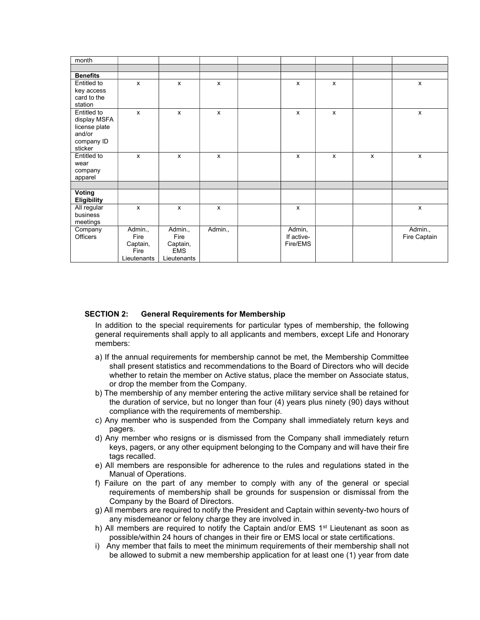| month              |              |                           |         |            |   |   |              |
|--------------------|--------------|---------------------------|---------|------------|---|---|--------------|
|                    |              |                           |         |            |   |   |              |
| <b>Benefits</b>    |              |                           |         |            |   |   |              |
| Entitled to        | $\mathsf{x}$ | $\mathsf{x}$              | X       | X          | X |   | X            |
| key access         |              |                           |         |            |   |   |              |
| card to the        |              |                           |         |            |   |   |              |
| station            |              |                           |         |            |   |   |              |
| Entitled to        | $\mathsf{x}$ | $\boldsymbol{\mathsf{x}}$ | X       | X          | X |   | X            |
| display MSFA       |              |                           |         |            |   |   |              |
| license plate      |              |                           |         |            |   |   |              |
| and/or             |              |                           |         |            |   |   |              |
| company ID         |              |                           |         |            |   |   |              |
| sticker            |              |                           |         |            |   |   |              |
| Entitled to        | x            | $\mathsf{x}$              | x       | x          | X | x | X            |
| wear               |              |                           |         |            |   |   |              |
| company            |              |                           |         |            |   |   |              |
| apparel            |              |                           |         |            |   |   |              |
|                    |              |                           |         |            |   |   |              |
| <b>Voting</b>      |              |                           |         |            |   |   |              |
| <b>Eligibility</b> |              |                           |         |            |   |   |              |
| All regular        | X            | $\pmb{\chi}$              | X       | X          |   |   | x            |
| business           |              |                           |         |            |   |   |              |
| meetings           |              |                           |         |            |   |   |              |
| Company            | Admin.,      | Admin.,                   | Admin., | Admin,     |   |   | Admin.,      |
| Officers           | Fire         | Fire                      |         | If active- |   |   | Fire Captain |
|                    | Captain,     | Captain,                  |         | Fire/EMS   |   |   |              |
|                    | Fire         | <b>EMS</b>                |         |            |   |   |              |
|                    | Lieutenants  | Lieutenants               |         |            |   |   |              |

#### SECTION 2: General Requirements for Membership

In addition to the special requirements for particular types of membership, the following general requirements shall apply to all applicants and members, except Life and Honorary members:

- a) If the annual requirements for membership cannot be met, the Membership Committee shall present statistics and recommendations to the Board of Directors who will decide whether to retain the member on Active status, place the member on Associate status, or drop the member from the Company.
- b) The membership of any member entering the active military service shall be retained for the duration of service, but no longer than four (4) years plus ninety (90) days without compliance with the requirements of membership.
- c) Any member who is suspended from the Company shall immediately return keys and pagers.
- d) Any member who resigns or is dismissed from the Company shall immediately return keys, pagers, or any other equipment belonging to the Company and will have their fire tags recalled.
- e) All members are responsible for adherence to the rules and regulations stated in the Manual of Operations.
- f) Failure on the part of any member to comply with any of the general or special requirements of membership shall be grounds for suspension or dismissal from the Company by the Board of Directors.
- g) All members are required to notify the President and Captain within seventy-two hours of any misdemeanor or felony charge they are involved in.
- h) All members are required to notify the Captain and/or EMS  $1<sup>st</sup>$  Lieutenant as soon as possible/within 24 hours of changes in their fire or EMS local or state certifications.
- i) Any member that fails to meet the minimum requirements of their membership shall not be allowed to submit a new membership application for at least one (1) year from date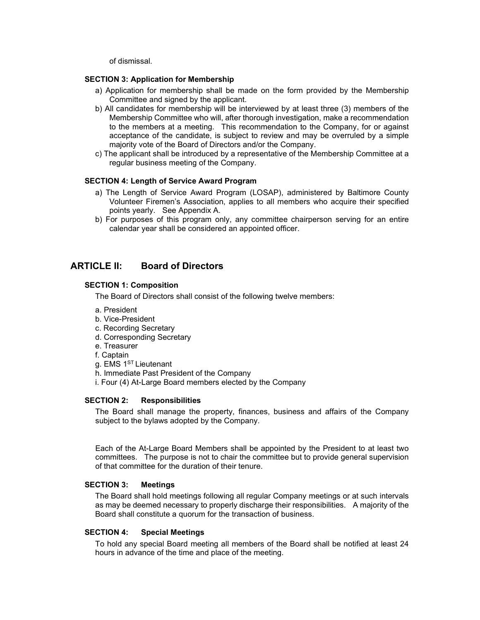of dismissal.

### SECTION 3: Application for Membership

- a) Application for membership shall be made on the form provided by the Membership Committee and signed by the applicant.
- b) All candidates for membership will be interviewed by at least three (3) members of the Membership Committee who will, after thorough investigation, make a recommendation to the members at a meeting. This recommendation to the Company, for or against acceptance of the candidate, is subject to review and may be overruled by a simple majority vote of the Board of Directors and/or the Company.
- c) The applicant shall be introduced by a representative of the Membership Committee at a regular business meeting of the Company.

## SECTION 4: Length of Service Award Program

- a) The Length of Service Award Program (LOSAP), administered by Baltimore County Volunteer Firemen's Association, applies to all members who acquire their specified points yearly. See Appendix A.
- b) For purposes of this program only, any committee chairperson serving for an entire calendar year shall be considered an appointed officer.

# ARTICLE II: Board of Directors

#### SECTION 1: Composition

The Board of Directors shall consist of the following twelve members:

- a. President
- b. Vice-President
- c. Recording Secretary
- d. Corresponding Secretary
- e. Treasurer
- f. Captain
- g. EMS 1<sup>ST</sup> Lieutenant

h. Immediate Past President of the Company

i. Four (4) At-Large Board members elected by the Company

## SECTION 2: Responsibilities

The Board shall manage the property, finances, business and affairs of the Company subject to the bylaws adopted by the Company.

Each of the At-Large Board Members shall be appointed by the President to at least two committees. The purpose is not to chair the committee but to provide general supervision of that committee for the duration of their tenure.

#### SECTION 3: Meetings

The Board shall hold meetings following all regular Company meetings or at such intervals as may be deemed necessary to properly discharge their responsibilities. A majority of the Board shall constitute a quorum for the transaction of business.

#### SECTION 4: Special Meetings

To hold any special Board meeting all members of the Board shall be notified at least 24 hours in advance of the time and place of the meeting.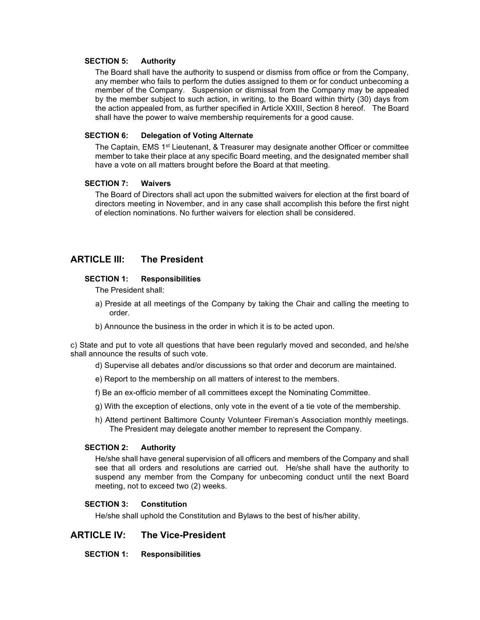#### SECTION 5: Authority

The Board shall have the authority to suspend or dismiss from office or from the Company, any member who fails to perform the duties assigned to them or for conduct unbecoming a member of the Company. Suspension or dismissal from the Company may be appealed by the member subject to such action, in writing, to the Board within thirty (30) days from the action appealed from, as further specified in Article XXIII, Section 8 hereof. The Board shall have the power to waive membership requirements for a good cause.

#### SECTION 6: Delegation of Voting Alternate

The Captain, EMS 1<sup>st</sup> Lieutenant, & Treasurer may designate another Officer or committee member to take their place at any specific Board meeting, and the designated member shall have a vote on all matters brought before the Board at that meeting.

#### SECTION 7: Waivers

The Board of Directors shall act upon the submitted waivers for election at the first board of directors meeting in November, and in any case shall accomplish this before the first night of election nominations. No further waivers for election shall be considered.

# ARTICLE III: The President

#### SECTION 1: Responsibilities

The President shall:

- a) Preside at all meetings of the Company by taking the Chair and calling the meeting to order.
- b) Announce the business in the order in which it is to be acted upon.

c) State and put to vote all questions that have been regularly moved and seconded, and he/she shall announce the results of such vote.

- d) Supervise all debates and/or discussions so that order and decorum are maintained.
- e) Report to the membership on all matters of interest to the members.
- f) Be an ex-officio member of all committees except the Nominating Committee.
- g) With the exception of elections, only vote in the event of a tie vote of the membership.
- h) Attend pertinent Baltimore County Volunteer Fireman's Association monthly meetings. The President may delegate another member to represent the Company.

## SECTION 2: Authority

He/she shall have general supervision of all officers and members of the Company and shall see that all orders and resolutions are carried out. He/she shall have the authority to suspend any member from the Company for unbecoming conduct until the next Board meeting, not to exceed two (2) weeks.

#### SECTION 3: Constitution

He/she shall uphold the Constitution and Bylaws to the best of his/her ability.

# ARTICLE IV: The Vice-President

SECTION 1: Responsibilities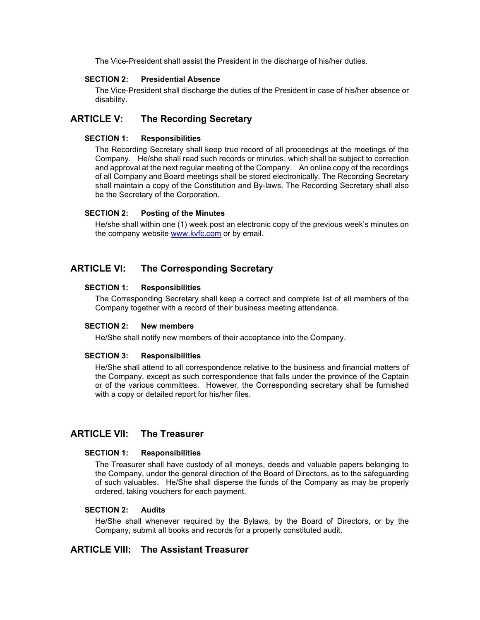The Vice-President shall assist the President in the discharge of his/her duties.

#### SECTION 2: Presidential Absence

The Vice-President shall discharge the duties of the President in case of his/her absence or disability.

# ARTICLE V: The Recording Secretary

## SECTION 1: Responsibilities

The Recording Secretary shall keep true record of all proceedings at the meetings of the Company. He/she shall read such records or minutes, which shall be subject to correction and approval at the next regular meeting of the Company. An online copy of the recordings of all Company and Board meetings shall be stored electronically. The Recording Secretary shall maintain a copy of the Constitution and By-laws. The Recording Secretary shall also be the Secretary of the Corporation.

## SECTION 2: Posting of the Minutes

He/she shall within one (1) week post an electronic copy of the previous week's minutes on the company website www.kvfc.com or by email.

# ARTICLE VI: The Corresponding Secretary

## SECTION 1: Responsibilities

The Corresponding Secretary shall keep a correct and complete list of all members of the Company together with a record of their business meeting attendance.

#### SECTION 2: New members

He/She shall notify new members of their acceptance into the Company.

#### SECTION 3: Responsibilities

He/She shall attend to all correspondence relative to the business and financial matters of the Company, except as such correspondence that falls under the province of the Captain or of the various committees. However, the Corresponding secretary shall be furnished with a copy or detailed report for his/her files.

# ARTICLE VII: The Treasurer

#### SECTION 1: Responsibilities

The Treasurer shall have custody of all moneys, deeds and valuable papers belonging to the Company, under the general direction of the Board of Directors, as to the safeguarding of such valuables. He/She shall disperse the funds of the Company as may be properly ordered, taking vouchers for each payment.

### SECTION 2: Audits

He/She shall whenever required by the Bylaws, by the Board of Directors, or by the Company, submit all books and records for a properly constituted audit.

# ARTICLE VIII: The Assistant Treasurer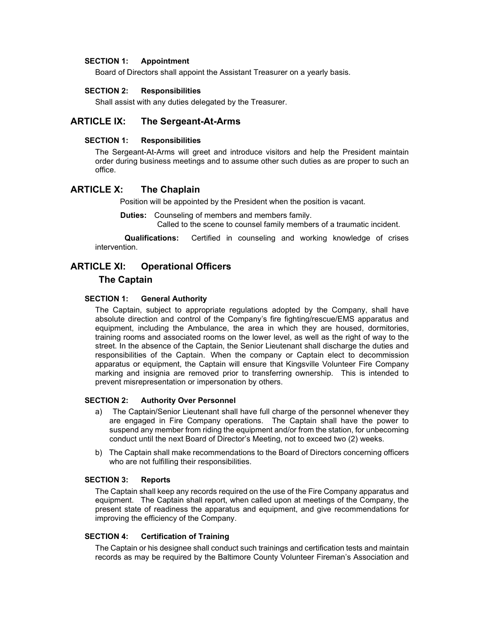#### SECTION 1: Appointment

Board of Directors shall appoint the Assistant Treasurer on a yearly basis.

#### SECTION 2: Responsibilities

Shall assist with any duties delegated by the Treasurer.

# ARTICLE IX: The Sergeant-At-Arms

#### SECTION 1: Responsibilities

The Sergeant-At-Arms will greet and introduce visitors and help the President maintain order during business meetings and to assume other such duties as are proper to such an office.

## ARTICLE X: The Chaplain

Position will be appointed by the President when the position is vacant.

Duties: Counseling of members and members family.

Called to the scene to counsel family members of a traumatic incident.

 Qualifications: Certified in counseling and working knowledge of crises intervention.

# ARTICLE XI: Operational Officers

## The Captain

#### SECTION 1: General Authority

The Captain, subject to appropriate regulations adopted by the Company, shall have absolute direction and control of the Company's fire fighting/rescue/EMS apparatus and equipment, including the Ambulance, the area in which they are housed, dormitories, training rooms and associated rooms on the lower level, as well as the right of way to the street. In the absence of the Captain, the Senior Lieutenant shall discharge the duties and responsibilities of the Captain. When the company or Captain elect to decommission apparatus or equipment, the Captain will ensure that Kingsville Volunteer Fire Company marking and insignia are removed prior to transferring ownership. This is intended to prevent misrepresentation or impersonation by others.

#### SECTION 2: Authority Over Personnel

- a) The Captain/Senior Lieutenant shall have full charge of the personnel whenever they are engaged in Fire Company operations. The Captain shall have the power to suspend any member from riding the equipment and/or from the station, for unbecoming conduct until the next Board of Director's Meeting, not to exceed two (2) weeks.
- b) The Captain shall make recommendations to the Board of Directors concerning officers who are not fulfilling their responsibilities.

#### SECTION 3: Reports

The Captain shall keep any records required on the use of the Fire Company apparatus and equipment. The Captain shall report, when called upon at meetings of the Company, the present state of readiness the apparatus and equipment, and give recommendations for improving the efficiency of the Company.

#### SECTION 4: Certification of Training

The Captain or his designee shall conduct such trainings and certification tests and maintain records as may be required by the Baltimore County Volunteer Fireman's Association and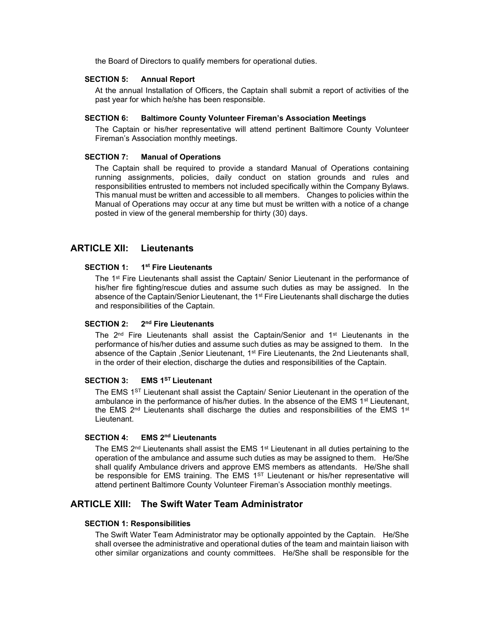the Board of Directors to qualify members for operational duties.

## SECTION 5: Annual Report

At the annual Installation of Officers, the Captain shall submit a report of activities of the past year for which he/she has been responsible.

#### SECTION 6: Baltimore County Volunteer Fireman's Association Meetings

The Captain or his/her representative will attend pertinent Baltimore County Volunteer Fireman's Association monthly meetings.

#### SECTION 7: Manual of Operations

The Captain shall be required to provide a standard Manual of Operations containing running assignments, policies, daily conduct on station grounds and rules and responsibilities entrusted to members not included specifically within the Company Bylaws. This manual must be written and accessible to all members. Changes to policies within the Manual of Operations may occur at any time but must be written with a notice of a change posted in view of the general membership for thirty (30) days.

# ARTICLE XII: Lieutenants

## SECTION 1: 1<sup>st</sup> Fire Lieutenants

The 1<sup>st</sup> Fire Lieutenants shall assist the Captain/ Senior Lieutenant in the performance of his/her fire fighting/rescue duties and assume such duties as may be assigned. In the absence of the Captain/Senior Lieutenant, the 1<sup>st</sup> Fire Lieutenants shall discharge the duties and responsibilities of the Captain.

#### SECTION 2: 2<sup>nd</sup> Fire Lieutenants

The  $2<sup>nd</sup>$  Fire Lieutenants shall assist the Captain/Senior and  $1<sup>st</sup>$  Lieutenants in the performance of his/her duties and assume such duties as may be assigned to them. In the absence of the Captain , Senior Lieutenant, 1<sup>st</sup> Fire Lieutenants, the 2nd Lieutenants shall, in the order of their election, discharge the duties and responsibilities of the Captain.

#### SECTION 3: EMS 1<sup>ST</sup> Lieutenant

The EMS 1<sup>ST</sup> Lieutenant shall assist the Captain/ Senior Lieutenant in the operation of the ambulance in the performance of his/her duties. In the absence of the EMS 1<sup>st</sup> Lieutenant, the EMS 2<sup>nd</sup> Lieutenants shall discharge the duties and responsibilities of the EMS 1<sup>st</sup> Lieutenant.

# SECTION 4: EMS 2<sup>nd</sup> Lieutenants

The EMS 2<sup>nd</sup> Lieutenants shall assist the EMS 1<sup>st</sup> Lieutenant in all duties pertaining to the operation of the ambulance and assume such duties as may be assigned to them. He/She shall qualify Ambulance drivers and approve EMS members as attendants. He/She shall be responsible for EMS training. The EMS  $1<sup>ST</sup>$  Lieutenant or his/her representative will attend pertinent Baltimore County Volunteer Fireman's Association monthly meetings.

# ARTICLE XIII: The Swift Water Team Administrator

#### SECTION 1: Responsibilities

The Swift Water Team Administrator may be optionally appointed by the Captain. He/She shall oversee the administrative and operational duties of the team and maintain liaison with other similar organizations and county committees. He/She shall be responsible for the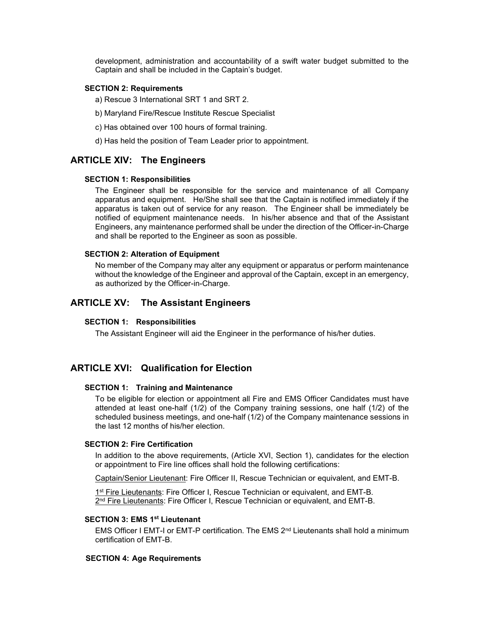development, administration and accountability of a swift water budget submitted to the Captain and shall be included in the Captain's budget.

#### SECTION 2: Requirements

a) Rescue 3 International SRT 1 and SRT 2.

- b) Maryland Fire/Rescue Institute Rescue Specialist
- c) Has obtained over 100 hours of formal training.
- d) Has held the position of Team Leader prior to appointment.

## ARTICLE XIV: The Engineers

#### SECTION 1: Responsibilities

The Engineer shall be responsible for the service and maintenance of all Company apparatus and equipment. He/She shall see that the Captain is notified immediately if the apparatus is taken out of service for any reason. The Engineer shall be immediately be notified of equipment maintenance needs. In his/her absence and that of the Assistant Engineers, any maintenance performed shall be under the direction of the Officer-in-Charge and shall be reported to the Engineer as soon as possible.

#### SECTION 2: Alteration of Equipment

No member of the Company may alter any equipment or apparatus or perform maintenance without the knowledge of the Engineer and approval of the Captain, except in an emergency, as authorized by the Officer-in-Charge.

# ARTICLE XV: The Assistant Engineers

#### SECTION 1: Responsibilities

The Assistant Engineer will aid the Engineer in the performance of his/her duties.

# ARTICLE XVI: Qualification for Election

#### SECTION 1: Training and Maintenance

To be eligible for election or appointment all Fire and EMS Officer Candidates must have attended at least one-half (1/2) of the Company training sessions, one half (1/2) of the scheduled business meetings, and one-half (1/2) of the Company maintenance sessions in the last 12 months of his/her election.

## SECTION 2: Fire Certification

In addition to the above requirements, (Article XVI, Section 1), candidates for the election or appointment to Fire line offices shall hold the following certifications:

Captain/Senior Lieutenant: Fire Officer II, Rescue Technician or equivalent, and EMT-B.

1<sup>st</sup> Fire Lieutenants: Fire Officer I, Rescue Technician or equivalent, and EMT-B. 2<sup>nd</sup> Fire Lieutenants: Fire Officer I, Rescue Technician or equivalent, and EMT-B.

#### SECTION 3: EMS 1st Lieutenant

EMS Officer I EMT-I or EMT-P certification. The EMS  $2<sup>nd</sup>$  Lieutenants shall hold a minimum certification of EMT-B.

#### SECTION 4: Age Requirements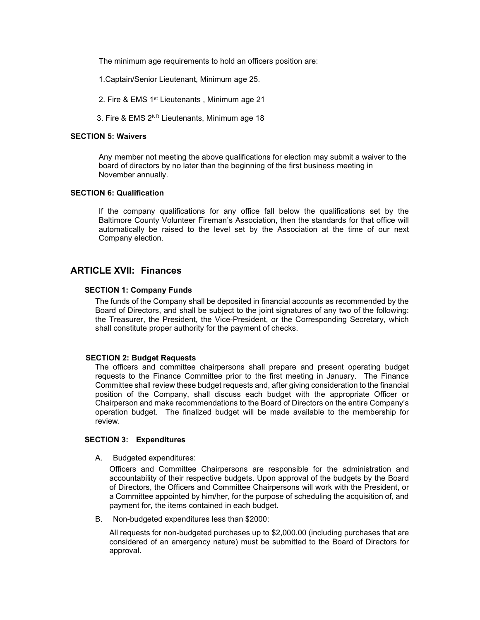The minimum age requirements to hold an officers position are:

- 1.Captain/Senior Lieutenant, Minimum age 25.
- 2. Fire & EMS 1st Lieutenants , Minimum age 21
- 3. Fire & EMS 2ND Lieutenants, Minimum age 18

#### SECTION 5: Waivers

Any member not meeting the above qualifications for election may submit a waiver to the board of directors by no later than the beginning of the first business meeting in November annually.

#### SECTION 6: Qualification

If the company qualifications for any office fall below the qualifications set by the Baltimore County Volunteer Fireman's Association, then the standards for that office will automatically be raised to the level set by the Association at the time of our next Company election.

# ARTICLE XVII: Finances

#### SECTION 1: Company Funds

The funds of the Company shall be deposited in financial accounts as recommended by the Board of Directors, and shall be subject to the joint signatures of any two of the following: the Treasurer, the President, the Vice-President, or the Corresponding Secretary, which shall constitute proper authority for the payment of checks.

#### SECTION 2: Budget Requests

The officers and committee chairpersons shall prepare and present operating budget requests to the Finance Committee prior to the first meeting in January. The Finance Committee shall review these budget requests and, after giving consideration to the financial position of the Company, shall discuss each budget with the appropriate Officer or Chairperson and make recommendations to the Board of Directors on the entire Company's operation budget. The finalized budget will be made available to the membership for review.

## SECTION 3: Expenditures

A. Budgeted expenditures:

Officers and Committee Chairpersons are responsible for the administration and accountability of their respective budgets. Upon approval of the budgets by the Board of Directors, the Officers and Committee Chairpersons will work with the President, or a Committee appointed by him/her, for the purpose of scheduling the acquisition of, and payment for, the items contained in each budget.

B. Non-budgeted expenditures less than \$2000:

All requests for non-budgeted purchases up to \$2,000.00 (including purchases that are considered of an emergency nature) must be submitted to the Board of Directors for approval.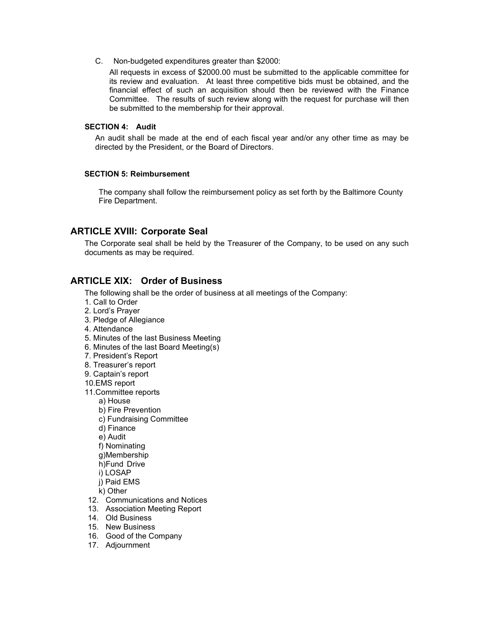C. Non-budgeted expenditures greater than \$2000:

All requests in excess of \$2000.00 must be submitted to the applicable committee for its review and evaluation. At least three competitive bids must be obtained, and the financial effect of such an acquisition should then be reviewed with the Finance Committee. The results of such review along with the request for purchase will then be submitted to the membership for their approval.

#### SECTION 4: Audit

An audit shall be made at the end of each fiscal year and/or any other time as may be directed by the President, or the Board of Directors.

## SECTION 5: Reimbursement

The company shall follow the reimbursement policy as set forth by the Baltimore County Fire Department.

# ARTICLE XVIII: Corporate Seal

The Corporate seal shall be held by the Treasurer of the Company, to be used on any such documents as may be required.

# ARTICLE XIX: Order of Business

The following shall be the order of business at all meetings of the Company:

- 1. Call to Order
- 2. Lord's Prayer
- 3. Pledge of Allegiance
- 4. Attendance
- 5. Minutes of the last Business Meeting
- 6. Minutes of the last Board Meeting(s)
- 7. President's Report
- 8. Treasurer's report
- 9. Captain's report
- 10.EMS report
- 11.Committee reports
	- a) House
	- b) Fire Prevention
	- c) Fundraising Committee
	- d) Finance
	- e) Audit
	- f) Nominating
	- g)Membership
	- h)Fund Drive
	- i) LOSAP
	- j) Paid EMS

k) Other

- 12. Communications and Notices
- 13. Association Meeting Report
- 14. Old Business
- 15. New Business
- 16. Good of the Company
- 17. Adjournment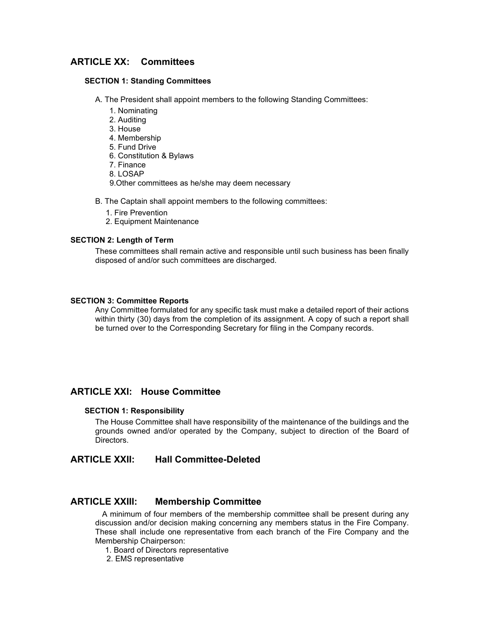# ARTICLE XX: Committees

#### SECTION 1: Standing Committees

A. The President shall appoint members to the following Standing Committees:

- 1. Nominating
- 2. Auditing
- 3. House
- 4. Membership
- 5. Fund Drive
- 6. Constitution & Bylaws
- 7. Finance
- 8. LOSAP
- 9.Other committees as he/she may deem necessary
- B. The Captain shall appoint members to the following committees:
	- 1. Fire Prevention
	- 2. Equipment Maintenance

#### SECTION 2: Length of Term

These committees shall remain active and responsible until such business has been finally disposed of and/or such committees are discharged.

## SECTION 3: Committee Reports

Any Committee formulated for any specific task must make a detailed report of their actions within thirty (30) days from the completion of its assignment. A copy of such a report shall be turned over to the Corresponding Secretary for filing in the Company records.

## ARTICLE XXI: House Committee

#### SECTION 1: Responsibility

The House Committee shall have responsibility of the maintenance of the buildings and the grounds owned and/or operated by the Company, subject to direction of the Board of Directors.

# ARTICLE XXII: Hall Committee-Deleted

# ARTICLE XXIII: Membership Committee

 A minimum of four members of the membership committee shall be present during any discussion and/or decision making concerning any members status in the Fire Company. These shall include one representative from each branch of the Fire Company and the Membership Chairperson:

1. Board of Directors representative

2. EMS representative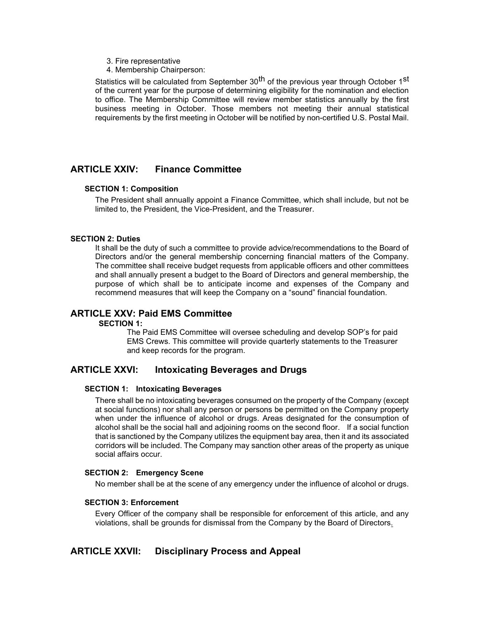- 3. Fire representative
- 4. Membership Chairperson:

Statistics will be calculated from September 30<sup>th</sup> of the previous year through October 1<sup>st</sup> of the current year for the purpose of determining eligibility for the nomination and election to office. The Membership Committee will review member statistics annually by the first business meeting in October. Those members not meeting their annual statistical requirements by the first meeting in October will be notified by non-certified U.S. Postal Mail.

# ARTICLE XXIV: Finance Committee

## SECTION 1: Composition

The President shall annually appoint a Finance Committee, which shall include, but not be limited to, the President, the Vice-President, and the Treasurer.

## SECTION 2: Duties

It shall be the duty of such a committee to provide advice/recommendations to the Board of Directors and/or the general membership concerning financial matters of the Company. The committee shall receive budget requests from applicable officers and other committees and shall annually present a budget to the Board of Directors and general membership, the purpose of which shall be to anticipate income and expenses of the Company and recommend measures that will keep the Company on a "sound" financial foundation.

# ARTICLE XXV: Paid EMS Committee

## SECTION 1:

 The Paid EMS Committee will oversee scheduling and develop SOP's for paid EMS Crews. This committee will provide quarterly statements to the Treasurer and keep records for the program.

# ARTICLE XXVI: Intoxicating Beverages and Drugs

#### SECTION 1: Intoxicating Beverages

There shall be no intoxicating beverages consumed on the property of the Company (except at social functions) nor shall any person or persons be permitted on the Company property when under the influence of alcohol or drugs. Areas designated for the consumption of alcohol shall be the social hall and adjoining rooms on the second floor. If a social function that is sanctioned by the Company utilizes the equipment bay area, then it and its associated corridors will be included. The Company may sanction other areas of the property as unique social affairs occur.

## SECTION 2: Emergency Scene

No member shall be at the scene of any emergency under the influence of alcohol or drugs.

## SECTION 3: Enforcement

Every Officer of the company shall be responsible for enforcement of this article, and any violations, shall be grounds for dismissal from the Company by the Board of Directors.

# ARTICLE XXVII: Disciplinary Process and Appeal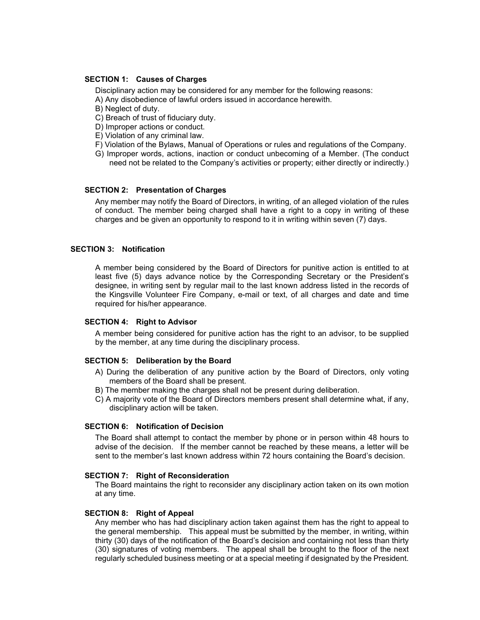#### SECTION 1: Causes of Charges

Disciplinary action may be considered for any member for the following reasons: A) Any disobedience of lawful orders issued in accordance herewith.

- B) Neglect of duty.
- C) Breach of trust of fiduciary duty.
- D) Improper actions or conduct.
- E) Violation of any criminal law.
- F) Violation of the Bylaws, Manual of Operations or rules and regulations of the Company.
- G) Improper words, actions, inaction or conduct unbecoming of a Member. (The conduct need not be related to the Company's activities or property; either directly or indirectly.)

#### SECTION 2: Presentation of Charges

Any member may notify the Board of Directors, in writing, of an alleged violation of the rules of conduct. The member being charged shall have a right to a copy in writing of these charges and be given an opportunity to respond to it in writing within seven (7) days.

#### SECTION 3: Notification

A member being considered by the Board of Directors for punitive action is entitled to at least five (5) days advance notice by the Corresponding Secretary or the President's designee, in writing sent by regular mail to the last known address listed in the records of the Kingsville Volunteer Fire Company, e-mail or text, of all charges and date and time required for his/her appearance.

#### SECTION 4: Right to Advisor

A member being considered for punitive action has the right to an advisor, to be supplied by the member, at any time during the disciplinary process.

#### SECTION 5: Deliberation by the Board

- A) During the deliberation of any punitive action by the Board of Directors, only voting members of the Board shall be present.
- B) The member making the charges shall not be present during deliberation.
- C) A majority vote of the Board of Directors members present shall determine what, if any, disciplinary action will be taken.

#### SECTION 6: Notification of Decision

The Board shall attempt to contact the member by phone or in person within 48 hours to advise of the decision. If the member cannot be reached by these means, a letter will be sent to the member's last known address within 72 hours containing the Board's decision.

#### SECTION 7: Right of Reconsideration

The Board maintains the right to reconsider any disciplinary action taken on its own motion at any time.

#### SECTION 8: Right of Appeal

Any member who has had disciplinary action taken against them has the right to appeal to the general membership. This appeal must be submitted by the member, in writing, within thirty (30) days of the notification of the Board's decision and containing not less than thirty (30) signatures of voting members. The appeal shall be brought to the floor of the next regularly scheduled business meeting or at a special meeting if designated by the President.